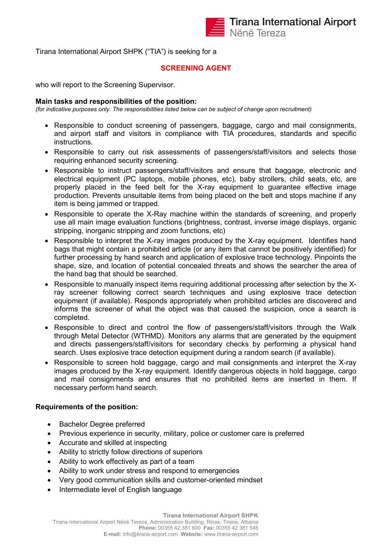

Tirana International Airport SHPK ("TIA") is seeking for a

## **SCREENING AGENT**

who will report to the Screening Supervisor.

## **Main tasks and responsibilities of the position:**

*(for indicative purposes only. The responsibilities listed below can be subject of change upon recruitment)*

- Responsible to conduct screening of passengers, baggage, cargo and mail consignments, and airport staff and visitors in compliance with TIA procedures, standards and specific **instructions**
- Responsible to carry out risk assessments of passengers/staff/visitors and selects those requiring enhanced security screening.
- Responsible to instruct passengers/staff/visitors and ensure that baggage, electronic and electrical equipment (PC laptops, mobile phones, etc), baby strollers, child seats, etc, are properly placed in the feed belt for the X-ray equipment to guarantee effective image production. Prevents unsuitable items from being placed on the belt and stops machine if any item is being jammed or trapped.
- Responsible to operate the X-Ray machine within the standards of screening, and properly use all main image evaluation functions (brightness, contrast, inverse image displays, organic stripping, inorganic stripping and zoom functions, etc)
- Responsible to interpret the X-ray images produced by the X-ray equipment. Identifies hand bags that might contain a prohibited article (or any item that cannot be positively identified) for further processing by hand search and application of explosive trace technology. Pinpoints the shape, size, and location of potential concealed threats and shows the searcher the area of the hand bag that should be searched.
- Responsible to manually inspect items requiring additional processing after selection by the Xray screener following correct search techniques and using explosive trace detection equipment (if available). Responds appropriately when prohibited articles are discovered and informs the screener of what the object was that caused the suspicion, once a search is completed.
- Responsible to direct and control the flow of passengers/staff/visitors through the Walk through Metal Detector (WTHMD). Monitors any alarms that are generated by the equipment and directs passengers/staff/visitors for secondary checks by performing a physical hand search. Uses explosive trace detection equipment during a random search (if available).
- Responsible to screen hold baggage, cargo and mail consignments and interpret the X-ray images produced by the X-ray equipment. Identify dangerous objects in hold baggage, cargo and mail consignments and ensures that no prohibited items are inserted in them. If necessary perform hand search.

## **Requirements of the position:**

- Bachelor Degree preferred
- Previous experience in security, military, police or customer care is preferred
- Accurate and skilled at inspecting
- Ability to strictly follow directions of superiors
- Ability to work effectively as part of a team
- Ability to work under stress and respond to emergencies
- Very good communication skills and customer-oriented mindset
- Intermediate level of English language